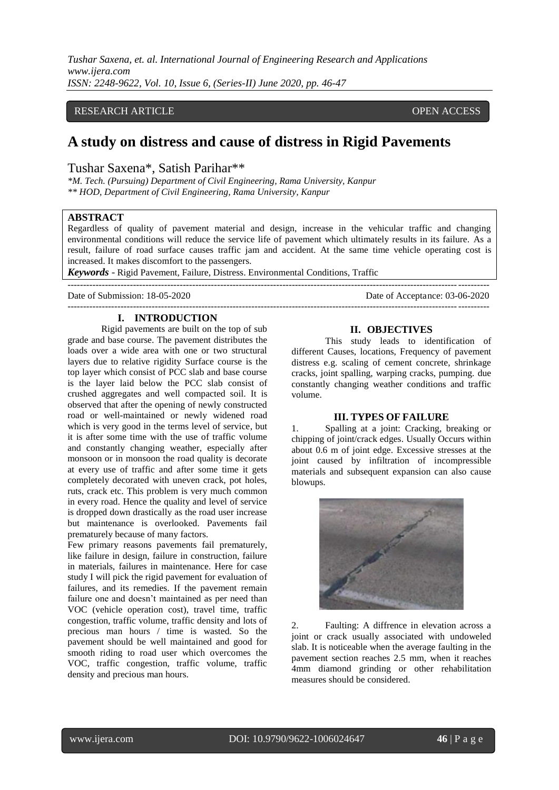*Tushar Saxena, et. al. International Journal of Engineering Research and Applications www.ijera.com ISSN: 2248-9622, Vol. 10, Issue 6, (Series-II) June 2020, pp. 46-47*

## RESEARCH ARTICLE **CONSERVERS** OPEN ACCESS

# **A study on distress and cause of distress in Rigid Pavements**

## Tushar Saxena\*, Satish Parihar\*\*

*\*M. Tech. (Pursuing) Department of Civil Engineering, Rama University, Kanpur \*\* HOD, Department of Civil Engineering, Rama University, Kanpur*

## **ABSTRACT**

Regardless of quality of pavement material and design, increase in the vehicular traffic and changing environmental conditions will reduce the service life of pavement which ultimately results in its failure. As a result, failure of road surface causes traffic jam and accident. At the same time vehicle operating cost is increased. It makes discomfort to the passengers.

---------------------------------------------------------------------------------------------------------------------------------------

*Keywords* - Rigid Pavement, Failure, Distress. Environmental Conditions, Traffic

--------------------------------------------------------------------------------------------------------------------------------------- Date of Submission: 18-05-2020 Date of Acceptance: 03-06-2020

#### **I. INTRODUCTION**

Rigid pavements are built on the top of sub grade and base course. The pavement distributes the loads over a wide area with one or two structural layers due to relative rigidity Surface course is the top layer which consist of PCC slab and base course is the layer laid below the PCC slab consist of crushed aggregates and well compacted soil. It is observed that after the opening of newly constructed road or well-maintained or newly widened road which is very good in the terms level of service, but it is after some time with the use of traffic volume and constantly changing weather, especially after monsoon or in monsoon the road quality is decorate at every use of traffic and after some time it gets completely decorated with uneven crack, pot holes, ruts, crack etc. This problem is very much common in every road. Hence the quality and level of service is dropped down drastically as the road user increase but maintenance is overlooked. Pavements fail prematurely because of many factors.

Few primary reasons pavements fail prematurely, like failure in design, failure in construction, failure in materials, failures in maintenance. Here for case study I will pick the rigid pavement for evaluation of failures, and its remedies. If the pavement remain failure one and doesn't maintained as per need than VOC (vehicle operation cost), travel time, traffic congestion, traffic volume, traffic density and lots of precious man hours / time is wasted. So the pavement should be well maintained and good for smooth riding to road user which overcomes the VOC, traffic congestion, traffic volume, traffic density and precious man hours.

#### **II. OBJECTIVES**

This study leads to identification of different Causes, locations, Frequency of pavement distress e.g. scaling of cement concrete, shrinkage cracks, joint spalling, warping cracks, pumping. due constantly changing weather conditions and traffic volume.

#### **III. TYPES OF FAILURE**

1. Spalling at a joint: Cracking, breaking or chipping of joint/crack edges. Usually Occurs within about 0.6 m of joint edge. Excessive stresses at the joint caused by infiltration of incompressible materials and subsequent expansion can also cause blowups.



2. Faulting: A diffrence in elevation across a joint or crack usually associated with undoweled slab. It is noticeable when the average faulting in the pavement section reaches 2.5 mm, when it reaches 4mm diamond grinding or other rehabilitation measures should be considered.